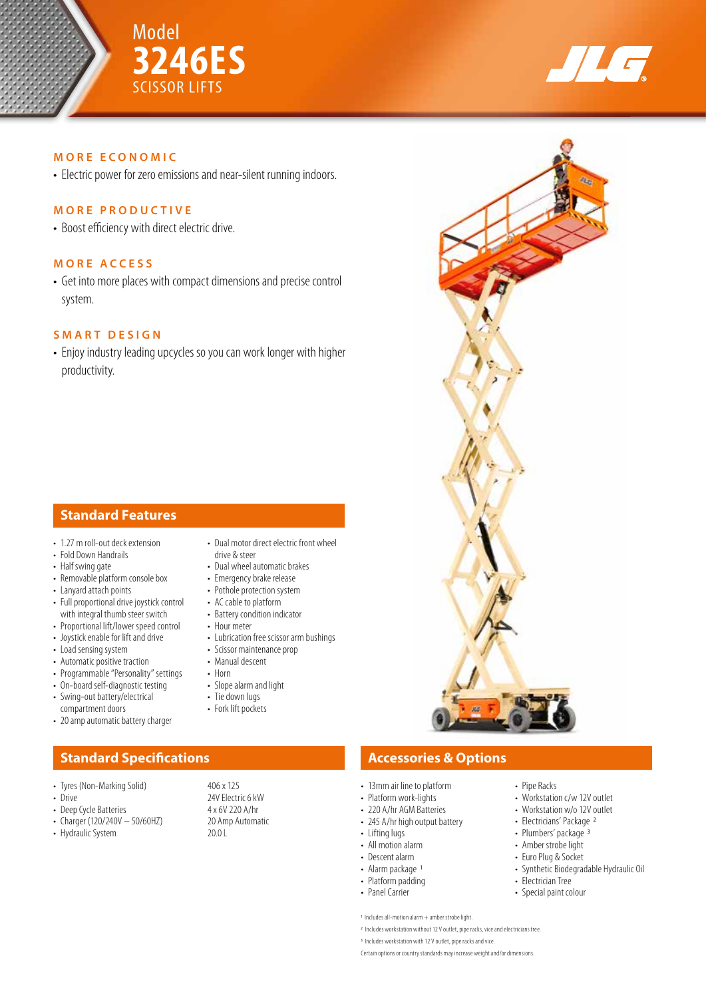



### **MORE ECONOMIC**

• Electric power for zero emissions and near-silent running indoors.

### **MORE PRODUCTIVE**

• Boost efficiency with direct electric drive.

### **MORE ACCESS**

• Get into more places with compact dimensions and precise control system.

## **SMART DESIGN**

• Enjoy industry leading upcycles so you can work longer with higher productivity.

## **Standard Features**

- 1.27 m roll-out deck extension
- Fold Down Handrails
- Half swing gate
- Removable platform console box
- Lanyard attach points
- Full proportional drive joystick control with integral thumb steer switch
- Proportional lift/lower speed control
- Joystick enable for lift and drive
- Load sensing system
- Automatic positive traction
- Programmable "Personality" settings • On-board self-diagnostic testing
- Swing-out battery/electrical
- compartment doors
- 20 amp automatic battery charger

- Tyres (Non-Marking Solid) 406 x 125<br>• Drive 24V Electr
- 
- Deep Cycle Batteries 4 x 6V 220 A/hr<br>• Charger (120/240V 50/60HZ) 20 Amp Automatic
- Charger (120/240V  $-$  50/60HZ)
- Hydraulic System 20.0 L
- Dual motor direct electric front wheel drive & steer
- Dual wheel automatic brakes
- Emergency brake release • Pothole protection system
- AC cable to platform
- Battery condition indicator
- Hour meter
- Lubrication free scissor arm bushings
- Scissor maintenance prop
- Manual descent
- Horn
- Slope alarm and light
- Tie down lugs
- Fork lift pockets

24V Electric 6 kW<br>4 x 6V 220 A/hr

# **Standard Specifications Accessories & Options**

• 13mm air line to platform

- Platform work-lights
- 220 A/hr AGM Batteries
- 245 A/hr high output battery
- Lifting lugs
- All motion alarm
- Descent alarm
- Alarm package<sup>1</sup>
- Platform padding
- Panel Carrier

1 Includes all-motion alarm + amber strobe light.

2 Includes workstation without 12 V outlet, pipe racks, vice and electricians tree.

Certain options or country standards may increase weight and/or dimensions.



• Pipe Racks

• Electrician Tree • Special paint colour

• Workstation c/w 12V outlet • Workstation w/o 12V outlet • Electricians' Package 2 • Plumbers' package 3 • Amber strobe light • Euro Plug & Socket

• Synthetic Biodegradable Hydraulic Oil

<sup>3</sup> Includes workstation with 12 V outlet, pipe racks and vice.